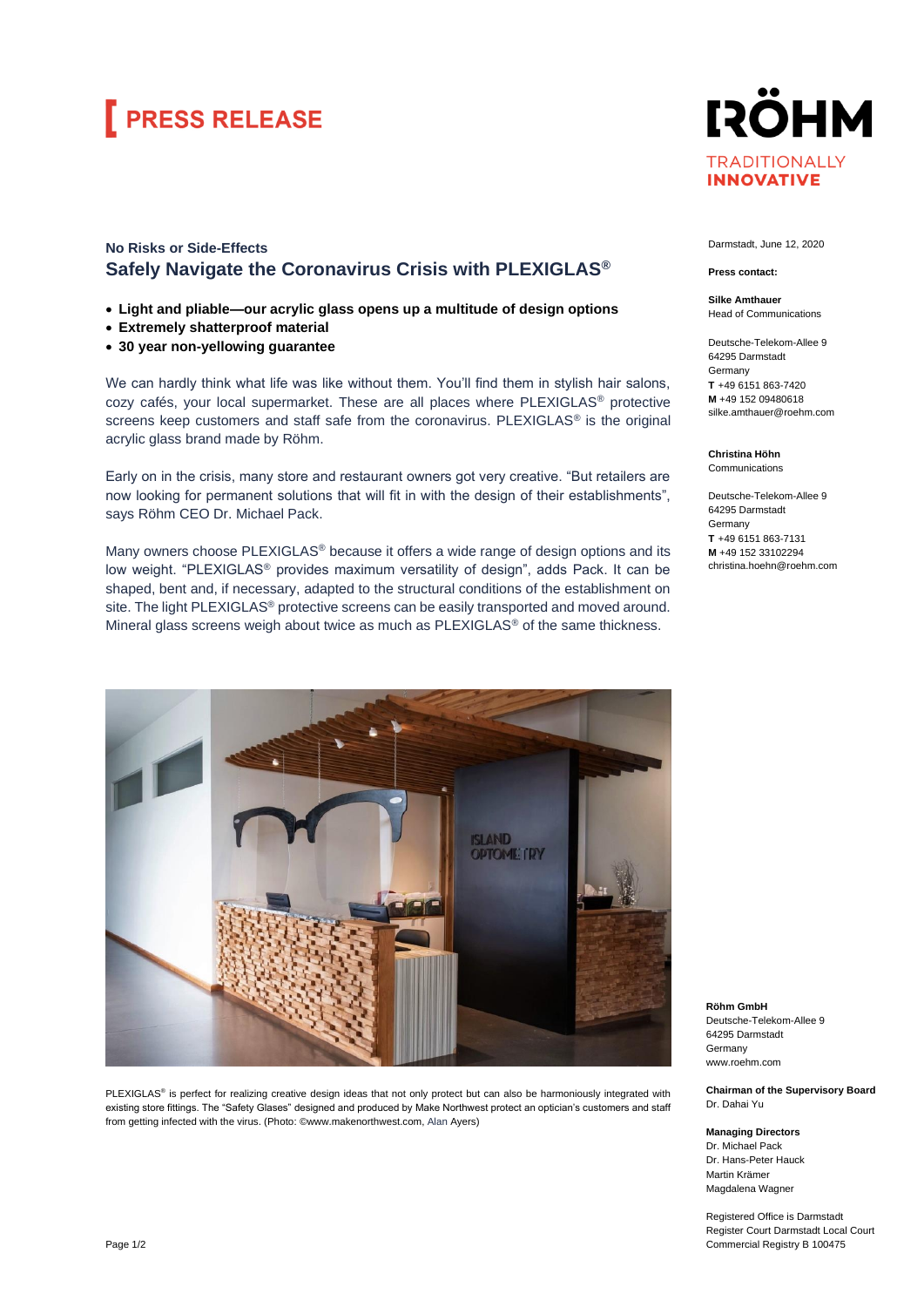# **FRESS RELEASE**

### **No Risks or Side-Effects Safely Navigate the Coronavirus Crisis with PLEXIGLAS®**

- **Light and pliable—our acrylic glass opens up a multitude of design options**
- **Extremely shatterproof material**
- **30 year non-yellowing guarantee**

We can hardly think what life was like without them. You'll find them in stylish hair salons, cozy cafés, your local supermarket. These are all places where PLEXIGLAS® protective screens keep customers and staff safe from the coronavirus. PLEXIGLAS<sup>®</sup> is the original acrylic glass brand made by Röhm.

Early on in the crisis, many store and restaurant owners got very creative. "But retailers are now looking for permanent solutions that will fit in with the design of their establishments", says Röhm CEO Dr. Michael Pack.

Many owners choose PLEXIGLAS<sup>®</sup> because it offers a wide range of design options and its low weight. "PLEXIGLAS® provides maximum versatility of design", adds Pack. It can be shaped, bent and, if necessary, adapted to the structural conditions of the establishment on site. The light PLEXIGLAS<sup>®</sup> protective screens can be easily transported and moved around. Mineral glass screens weigh about twice as much as PLEXIGLAS® of the same thickness.



PLEXIGLAS® is perfect for realizing creative design ideas that not only protect but can also be harmoniously integrated with existing store fittings. The "Safety Glases" designed and produced by Make Northwest protect an optician's customers and staff from getting infected with the virus. (Photo: [©www.makenorthwest.com,](https://eur01.safelinks.protection.outlook.com/?url=http%3A%2F%2Fwww.makenorthwest.com%2F&data=02%7C01%7C%7C072292cdcf7b47e3686d08d80c60a53c%7C884b0d7099fb4a15a071a3c07a844c4a%7C0%7C1%7C637272956535456670&sdata=MhInASD7XNqW7zJ12YsabjrM4eUC0wKKZSXPaxp7b7M%3D&reserved=0) Alan Ayers)



Darmstadt, June 12, 2020

#### **Press contact:**

**Silke Amthauer** Head of Communications

Deutsche-Telekom-Allee 9 64295 Darmstadt Germany **T** +49 6151 863-7420 **M** +49 152 09480618 silke.amthauer@roehm.com

**Christina Höhn**

Communications

Deutsche-Telekom-Allee 9 64295 Darmstadt Germany **T** +49 6151 863-7131 **M** +49 152 33102294 christina.hoehn@roehm.com

**Röhm GmbH** Deutsche-Telekom-Allee 9 64295 Darmstadt Germany www.roehm.com

**Chairman of the Supervisory Board** Dr. Dahai Yu

**Managing Directors** Dr. Michael Pack Dr. Hans-Peter Hauck Martin Krämer Magdalena Wagner

Registered Office is Darmstadt Register Court Darmstadt Local Court Commercial Registry B 100475